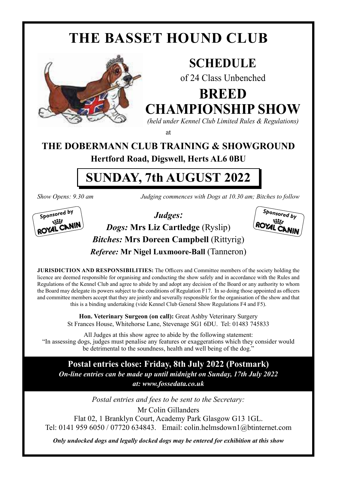## **THE BASSET HOUND CLUB**



### **SCHEDULE**

of 24 Class Unbenched

**BREED CHAMPIONSHIP SHOW**

*(held under Kennel Club Limited Rules & Regulations)* at

## **THE DOBERMANN CLUB TRAINING & SHOWGROUND**

**Hertford Road, Digswell, Herts AL6 0BU**

## **SUNDAY, 7th AUGUST 2022**



*Show Opens: 9.30 am Judging commences with Dogs at 10.30 am; Bitches to follow*





**JURISDICTION AND RESPONSIBILITIES:** The Officers and Committee members of the society holding the licence are deemed responsible for organising and conducting the show safely and in accordance with the Rules and Regulations of the Kennel Club and agree to abide by and adopt any decision of the Board or any authority to whom the Board may delegate its powers subject to the conditions of Regulation F17. In so doing those appointed as officers and committee members accept that they are jointly and severally responsible for the organisation of the show and that this is a binding undertaking (vide Kennel Club General Show Regulations F4 and F5).

> **Hon. Veterinary Surgeon (on call):** Great Ashby Veterinary Surgery St Frances House, Whitehorse Lane, Stevenage SG1 6DU. Tel: 01483 745833

All Judges at this show agree to abide by the following statement: "In assessing dogs, judges must penalise any features or exaggerations which they consider would be detrimental to the soundness, health and well being of the dog."

**Postal entries close: Friday, 8th July 2022 (Postmark)** *On-line entries can be made up until midnight on Sunday, 17th July 2022 at: www.fossedata.co.uk*

*Postal entries and fees to be sent to the Secretary:* Mr Colin Gillanders Flat 02, 1 Branklyn Court, Academy Park Glasgow G13 1GL. Tel: 0141 959 6050 / 07720 634843. Email: colin.helmsdown1@btinternet.com

*Only undocked dogs and legally docked dogs may be entered for exhibition at this show*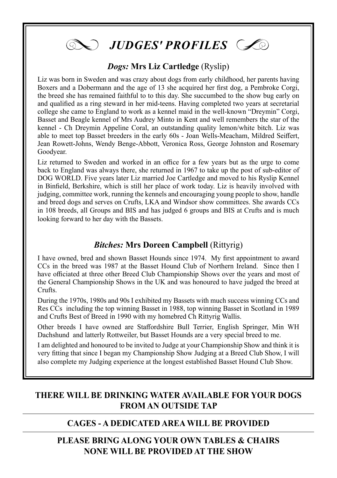

#### *Dogs:* **Mrs Liz Cartledge** (Ryslip)

Liz was born in Sweden and was crazy about dogs from early childhood, her parents having Boxers and a Dobermann and the age of 13 she acquired her first dog, a Pembroke Corgi, the breed she has remained faithful to to this day. She succumbed to the show bug early on and qualified as a ring steward in her mid-teens. Having completed two years at secretarial college she came to England to work as a kennel maid in the well-known "Dreymin" Corgi, Basset and Beagle kennel of Mrs Audrey Minto in Kent and well remembers the star of the kennel - Ch Dreymin Appeline Coral, an outstanding quality lemon/white bitch. Liz was able to meet top Basset breeders in the early 60s - Joan Wells-Meacham, Mildred Seiffert, Jean Rowett-Johns, Wendy Benge-Abbott, Veronica Ross, George Johnston and Rosemary Goodyear.

Liz returned to Sweden and worked in an office for a few years but as the urge to come back to England was always there, she returned in 1967 to take up the post of sub-editor of DOG WORLD. Five years later Liz married Joe Cartledge and moved to his Ryslip Kennel in Binfield, Berkshire, which is still her place of work today. Liz is heavily involved with judging, committee work, running the kennels and encouraging young people to show, handle and breed dogs and serves on Crufts, LKA and Windsor show committees. She awards CCs in 108 breeds, all Groups and BIS and has judged 6 groups and BIS at Crufts and is much looking forward to her day with the Bassets.

#### *Bitches:* **Mrs Doreen Campbell** (Rittyrig)

I have owned, bred and shown Basset Hounds since 1974. My first appointment to award CCs in the breed was 1987 at the Basset Hound Club of Northern Ireland. Since then I have officiated at three other Breed Club Championship Shows over the years and most of the General Championship Shows in the UK and was honoured to have judged the breed at Crufts.

During the 1970s, 1980s and 90s I exhibited my Bassets with much success winning CCs and Res CCs including the top winning Basset in 1988, top winning Basset in Scotland in 1989 and Crufts Best of Breed in 1990 with my homebred Ch Rittyrig Wallis.

Other breeds I have owned are Staffordshire Bull Terrier, English Springer, Min WH Dachshund and latterly Rottweiler, but Basset Hounds are a very special breed to me.

I am delighted and honoured to be invited to Judge at your Championship Show and think it is very fitting that since I began my Championship Show Judging at a Breed Club Show, I will also complete my Judging experience at the longest established Basset Hound Club Show.

#### **THERE WILL BE DRINKING WATER AVAILABLE FOR YOUR DOGS FROM AN OUTSIDE TAP**

#### **CAGES - A DEDICATED AREA WILL BE PROVIDED**

#### **PLEASE BRING ALONG YOUR OWN TABLES & CHAIRS NONE WILL BE PROVIDED AT THE SHOW**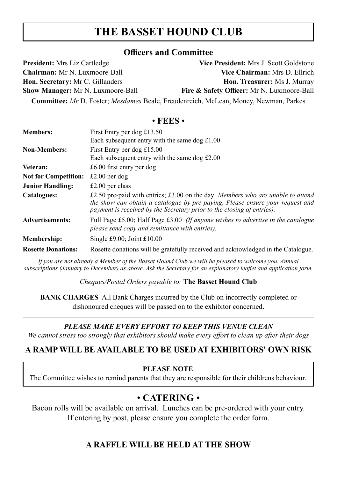#### **THE BASSET HOUND CLUB**

#### **Officers and Committee**

| <b>President:</b> Mrs Liz Cartledge                                                         | Vice President: Mrs J. Scott Goldstone     |
|---------------------------------------------------------------------------------------------|--------------------------------------------|
| <b>Chairman:</b> Mr N. Luxmoore-Ball                                                        | Vice Chairman: Mrs D. Ellrich              |
| Hon. Secretary: Mr C. Gillanders                                                            | <b>Hon. Treasurer:</b> Ms J. Murray        |
| <b>Show Manager:</b> Mr N. Luxmoore-Ball                                                    | Fire & Safety Officer: Mr N. Luxmoore-Ball |
| <b>Committee:</b> Mr D. Foster; Mesdames Beale, Freudenreich, McLean, Money, Newman, Parkes |                                            |

#### • **FEES** •

| <b>Members:</b>             | First Entry per dog $£13.50$                                                                                                                                                                                                              |
|-----------------------------|-------------------------------------------------------------------------------------------------------------------------------------------------------------------------------------------------------------------------------------------|
|                             | Each subsequent entry with the same dog $\pounds1.00$                                                                                                                                                                                     |
| <b>Non-Members:</b>         | First Entry per dog $£15.00$                                                                                                                                                                                                              |
|                             | Each subsequent entry with the same dog $£2.00$                                                                                                                                                                                           |
| Veteran:                    | £6.00 first entry per dog                                                                                                                                                                                                                 |
| <b>Not for Competition:</b> | £2.00 per dog                                                                                                                                                                                                                             |
| <b>Junior Handling:</b>     | £2.00 per class                                                                                                                                                                                                                           |
| Catalogues:                 | £2.50 pre-paid with entries; £3.00 on the day Members who are unable to attend<br>the show can obtain a catalogue by pre-paying. Please ensure your request and<br>payment is received by the Secretary prior to the closing of entries). |
| <b>Advertisements:</b>      | Full Page £5.00; Half Page £3.00 (If anyone wishes to advertise in the catalogue<br>please send copy and remittance with entries).                                                                                                        |
| Membership:                 | Single £9.00; Joint £10.00                                                                                                                                                                                                                |
| <b>Rosette Donations:</b>   | Rosette donations will be gratefully received and acknowledged in the Catalogue.                                                                                                                                                          |

*If you are not already a Member of the Basset Hound Club we will be pleased to welcome you. Annual subscriptions (January to December) as above. Ask the Secretary for an explanatory leaflet and application form.*

*Cheques/Postal Orders payable to:* **The Basset Hound Club**

**BANK CHARGES** All Bank Charges incurred by the Club on incorrectly completed or dishonoured cheques will be passed on to the exhibitor concerned.

#### *PLEASE MAKE EVERY EFFORT TO KEEP THIS VENUE CLEAN*

*We cannot stress too strongly that exhibitors should make every effort to clean up after their dogs*

#### **A RAMP WILL BE AVAILABLE TO BE USED AT EXHIBITORS' OWN RISK**

#### **PLEASE NOTE**

The Committee wishes to remind parents that they are responsible for their childrens behaviour.

#### • **CATERING** •

Bacon rolls will be available on arrival. Lunches can be pre-ordered with your entry. If entering by post, please ensure you complete the order form.

#### **A RAFFLE WILL BE HELD AT THE SHOW**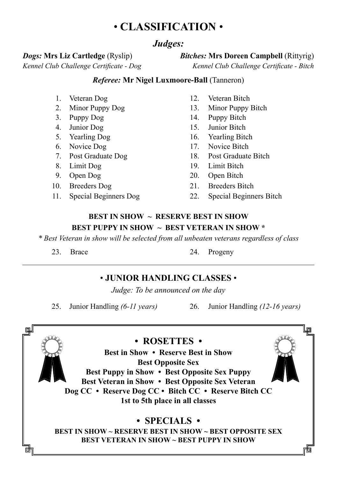#### • **CLASSIFICATION** •

#### *Judges:*

#### *Dogs:* **Mrs Liz Cartledge** (Ryslip) *Bitches:* **Mrs Doreen Campbell** (Rittyrig)

*Kennel Club Challenge Certificate - Dog Kennel Club Challenge Certificate - Bitch*

#### *Referee:* **Mr Nigel Luxmoore-Ball** (Tanneron)

- 
- 
- 
- 
- 
- 
- 
- 
- 
- 
- 
- 1. Veteran Dog 12. Veteran Bitch
- 2. Minor Puppy Dog 13. Minor Puppy Bitch
- 3. Puppy Dog 14. Puppy Bitch
- 4. Junior Dog 15. Junior Bitch
- 5. Yearling Dog 16. Yearling Bitch
- 6. Novice Dog 17. Novice Bitch
- 7. Post Graduate Dog 18. Post Graduate Bitch
- 8. Limit Dog 19. Limit Bitch
- 9. Open Dog 20. Open Bitch
- 10. Breeders Dog 21. Breeders Bitch
- 11. Special Beginners Dog 22. Special Beginners Bitch

#### **BEST IN SHOW ~ RESERVE BEST IN SHOW BEST PUPPY IN SHOW ~ BEST VETERAN IN SHOW \***

*\* Best Veteran in show will be selected from all unbeaten veterans regardless of class*

23. Brace 24. Progeny

#### • **JUNIOR HANDLING CLASSES** •

*Judge: To be announced on the day*

25. Junior Handling *(6-11 years)* 26. Junior Handling *(12-16 years)*

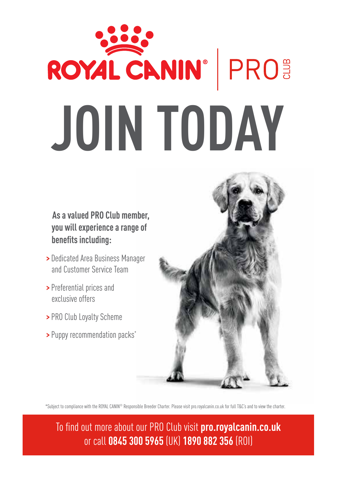# ROYAL CANIN® | PROS **JOIN TODAY**

 **As a valued PRO Club member, you will experience a range of benefits including:**

- **>** Dedicated Area Business Manager and Customer Service Team
- **>** Preferential prices and exclusive offers
- **>** PRO Club Loyalty Scheme
- **>** Puppy recommendation packs\*



\*Subject to compliance with the ROYAL CANIN® Responsible Breeder Charter. Please visit pro.royalcanin.co.uk for full T&C's and to view the charter.

To find out more about our PRO Club visit **pro.royalcanin.co.uk** or call **0845 300 5965** (UK) **1890 882 356** (ROI)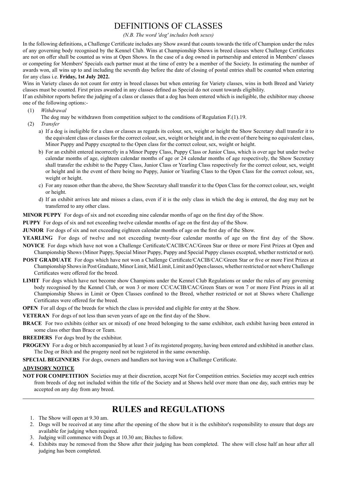#### DEFINITIONS OF CLASSES

*(N.B. The word 'dog' includes both sexes)*

In the following definitions, a Challenge Certificate includes any Show award that counts towards the title of Champion under the rules of any governing body recognised by the Kennel Club. Wins at Championship Shows in breed classes where Challenge Certificates are not on offer shall be counted as wins at Open Shows. In the case of a dog owned in partnership and entered in Members' classes or competing for Members' Specials each partner must at the time of entry be a member of the Society. In estimating the number of awards won, all wins up to and including the seventh day before the date of closing of postal entries shall be counted when entering for any class i.e. **Friday, 1st July 2022.**

Wins in Variety clases do not count for entry in breed classes but when entering for Variety classes, wins in both Breed and Variety classes must be counted. First prizes awarded in any classes defined as Special do not count towards eligibility.

If an exhibitor reports before the judging of a class or classes that a dog has been entered which is ineligible, the exhibitor may choose one of the following options:-

- (1) *Withdrawal*
	- The dog may be withdrawn from competition subject to the conditions of Regulation F.(1).19.
- (2) *Transfer*
	- a) If a dog is ineligible for a class or classes as regards its colour, sex, weight or height the Show Secretary shall transfer it to the equivalent class or classes for the correct colour, sex, weight or height and, in the event of there being no equivalent class, Minor Puppy and Puppy excepted to the Open class for the correct colour, sex, weight or height.
	- b) For an exhibit entered incorrectly in a Minor Puppy Class, Puppy Class or Junior Class, which is over age but under twelve calendar months of age, eighteen calendar months of age or 24 calendar months of age respectively, the Show Secretary shall transfer the exhibit to the Puppy Class, Junior Class or Yearling Class respectively for the correct colour, sex, weight or height and in the event of there being no Puppy, Junior or Yearling Class to the Open Class for the correct colour, sex, weight or height.
	- c) For any reason other than the above, the Show Secretary shall transfer it to the Open Class for the correct colour, sex, weight or height.
	- d) If an exhibit arrives late and misses a class, even if it is the only class in which the dog is entered, the dog may not be transferred to any other class.

**MINOR PUPPY** For dogs of six and not exceeding nine calendar months of age on the first day of the Show.

**PUPPY** For dogs of six and not exceeding twelve calendar months of age on the first day of the Show.

**JUNIOR** For dogs of six and not exceeding eighteen calendar months of age on the first day of the Show.

**YEARLING** For dogs of twelve and not exceeding twenty-four calendar months of age on the first day of the Show.

- **NOVICE** For dogs which have not won a Challenge Certificate/CACIB/CAC/Green Star or three or more First Prizes at Open and Championship Shows (Minor Puppy, Special Minor Puppy, Puppy and Special Puppy classes excepted, whether restricted or not).
- **POST GRADUATE** For dogs which have not won a Challenge Certificate/CACIB/CAC/Green Star or five or more First Prizes at Championship Shows in Post Graduate, Minor Limit, Mid Limit, Limit and Open classes, whether restricted or not where Challenge Certificates were offered for the breed.
- **LIMIT** For dogs which have not become show Champions under the Kennel Club Regulations or under the rules of any governing body recognised by the Kennel Club, or won 3 or more CC/CACIB/CAC/Green Stars or won 7 or more First Prizes in all at Championship Shows in Limit or Open Classes confined to the Breed, whether restricted or not at Shows where Challenge Certificates were offered for the breed.
- **OPEN** For all dogs of the breeds for which the class is provided and eligible for entry at the Show.
- **VETERAN** For dogs of not less than seven years of age on the first day of the Show.
- **BRACE** For two exhibits (either sex or mixed) of one breed belonging to the same exhibitor, each exhibit having been entered in some class other than Brace or Team.
- **BREEDERS** For dogs bred by the exhibitor.
- **PROGENY** For a dog or bitch accompanied by at least 3 of its registered progeny, having been entered and exhibited in another class. The Dog or Bitch and the progeny need not be registered in the same ownership.
- **SPECIAL BEGINNERS** For dogs, owners and handlers not having won a Challenge Certificate.

#### **ADVISORY NOTICE**

**NOT FOR COMPETITION** Societies may at their discretion, accept Not for Competition entries. Societies may accept such entries from breeds of dog not included within the title of the Society and at Shows held over more than one day, such entries may be accepted on any day from any breed.

#### **RULES and REGULATIONS**

- 1. The Show will open at 9.30 am.
- 2. Dogs will be received at any time after the opening of the show but it is the exhibitor's responsibility to ensure that dogs are available for judging when required.
- 3. Judging will commence with Dogs at 10.30 am; Bitches to follow.
- 4. Exhibits may be removed from the Show after their judging has been completed. The show will close half an hour after all judging has been completed.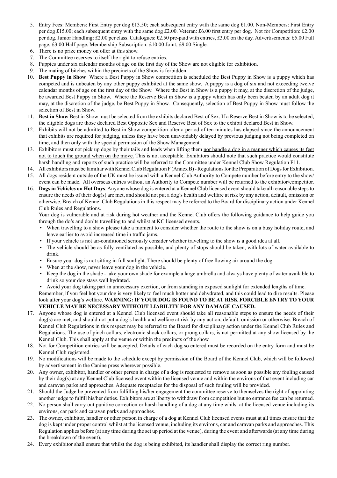- 5. Entry Fees: Members: First Entry per dog £13.50; each subsequent entry with the same dog £1.00. Non-Members: First Entry per dog £15.00; each subsequent entry with the same dog £2.00. Veteran: £6.00 first entry per dog. Not for Competition: £2.00 per dog. Junior Handling: £2.00 per class. Catalogues: £2.50 pre-paid with entries, £3.00 on the day. Advertisements: £5.00 Full page; £3.00 Half page. Membership Subscription: £10.00 Joint; £9.00 Single.
- 6. There is no prize money on offer at this show.
- 7. The Committee reserves to itself the right to refuse entries.
- 8. Puppies under six calendar months of age on the first day of the Show are not eligible for exhibition.
- 9. The mating of bitches within the precincts of the Show is forbidden.
- 10. **Best Puppy in Show** Where a Best Puppy in Show competition is scheduled the Best Puppy in Show is a puppy which has competed and is unbeaten by any other puppy exhibited at the same show. A puppy is a dog of six and not exceeding twelve calendar months of age on the first day of the Show. Where the Best in Show is a puppy it may, at the discretion of the judge, be awarded Best Puppy in Show. Where the Reserve Best in Show is a puppy which has only been beaten by an adult dog it may, at the discretion of the judge, be Best Puppy in Show. Consequently, selection of Best Puppy in Show must follow the selection of Best in Show.
- 11. **Best in Show** Best in Show must be selected from the exhibits declared Best of Sex. If a Reserve Best in Show is to be selected, the eligible dogs are those declared Best Opposite Sex and Reserve Best of Sex to the exhibit declared Best in Show.
- 12. Exhibits will not be admitted to Best in Show competition after a period of ten minutes has elapsed since the announcement that exhibits are required for judging, unless they have been unavoidably delayed by previous judging not being completed on time, and then only with the special permission of the Show Management.
- 13. Exhibitors must not pick up dogs by their tails and leads when lifting them nor handle a dog in a manner which causes its feet not to touch the ground when on the move. This is not acceptable. Exhibitors should note that such practice would constitute harsh handling and reports of such practice will be referred to the Committee under Kennel Club Show Regulation F11.
- 14. All exhibitors must be familiar with Kennel Club Regulation F (Annex B) Regulations for the Preparation of Dogs for Exhibition.
- 15. All dogs resident outside of the UK must be issued with a Kennel Club Authority to Compete number before entry to the show/ event can be made. All overseas entries without an Authority to Compete number will be returned to the exhibitor/competitor.
- 16. **Dogs in Vehicles on Hot Days**. Anyone whose dog is entered at a Kennel Club licensed event should take all reasonable steps to ensure the needs of their dog(s) are met, and should not put a dog's health and welfare at risk by any action, default, omission or otherwise. Breach of Kennel Club Regulations in this respect may be referred to the Board for disciplinary action under Kennel Club Rules and Regulations.

 Your dog is vulnerable and at risk during hot weather and the Kennel Club offers the following guidance to help guide you through the do's and don'ts travelling to and whilst at KC licensed events.

- When travelling to a show please take a moment to consider whether the route to the show is on a busy holiday route, and leave earlier to avoid increased time in traffic jams.
- If your vehicle is not air-conditioned seriously consider whether travelling to the show is a good idea at all.
- The vehicle should be as fully ventilated as possible, and plenty of stops should be taken, with lots of water available to drink.
- Ensure your dog is not sitting in full sunlight. There should be plenty of free flowing air around the dog.
- When at the show, never leave your dog in the vehicle.
- Keep the dog in the shade take your own shade for example a large umbrella and always have plenty of water available to drink so your dog stays well hydrated.
- Avoid your dog taking part in unnecessary exertion, or from standing in exposed sunlight for extended lengths of time.

 Remember, if you feel hot your dog is very likely to feel much hotter and dehydrated, and this could lead to dire results. Please look after your dog's welfare. **WARNING: IF YOUR DOG IS FOUND TO BE AT RISK FORCIBLE ENTRY TO YOUR VEHICLE MAY BE NECESSARY WITHOUT LIABILITY FOR ANY DAMAGE CAUSED.**

- 17. Anyone whose dog is entered at a Kennel Club licensed event should take all reasonable steps to ensure the needs of their dog(s) are met, and should not put a dog's health and welfare at risk by any action, default, omission or otherwise. Breach of Kennel Club Regulations in this respect may be referred to the Board for disciplinary action under the Kennel Club Rules and Regulations. The use of pinch collars, electronic shock collars, or prong collars, is not permitted at any show licensed by the Kennel Club. This shall apply at the venue or within the precincts of the show
- 18. Not for Competition entries will be accepted. Details of each dog so entered must be recorded on the entry form and must be Kennel Club registered.
- 19. No modifications will be made to the schedule except by permission of the Board of the Kennel Club, which will be followed by advertisement in the Canine press wherever possible.
- 20. Any owner, exhibitor, handler or other person in charge of a dog is requested to remove as soon as possible any fouling caused by their dog(s) at any Kennel Club licensed event within the licensed venue and within the environs of that event including car and caravan parks and approaches. Adequate receptacles for the disposal of such fouling will be provided.
- 21. Should the Judge be prevented from fulfilling his/her engagement the committee reserve to themselves the right of appointing another judge to fulfill his/her duties. Exhibitors are at liberty to withdraw from competition but no entrance fee can be returned.
- 22. No person shall carry out punitive correction or harsh handling of a dog at any time whilst at the licensed venue including its environs, car park and caravan parks and approaches.
- 23. The owner, exhibitor, handler or other person in charge of a dog at Kennel Club licensed events must at all times ensure that the dog is kept under proper control whilst at the licensed venue, including its environs, car and caravan parks and approaches. This Regulation applies before (at any time during the set up period at the venue), during the event and afterwards (at any time during the breakdown of the event).
- 24. Every exhibitor shall ensure that whilst the dog is being exhibited, its handler shall display the correct ring number.